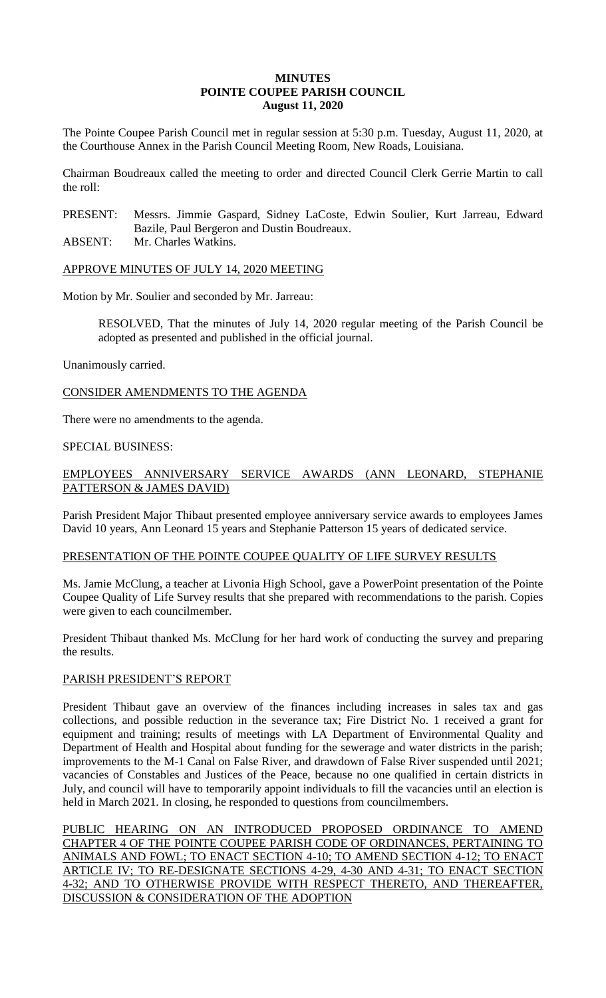# **MINUTES POINTE COUPEE PARISH COUNCIL August 11, 2020**

The Pointe Coupee Parish Council met in regular session at 5:30 p.m. Tuesday, August 11, 2020, at the Courthouse Annex in the Parish Council Meeting Room, New Roads, Louisiana.

Chairman Boudreaux called the meeting to order and directed Council Clerk Gerrie Martin to call the roll:

PRESENT: Messrs. Jimmie Gaspard, Sidney LaCoste, Edwin Soulier, Kurt Jarreau, Edward Bazile, Paul Bergeron and Dustin Boudreaux.

ABSENT: Mr. Charles Watkins.

APPROVE MINUTES OF JULY 14, 2020 MEETING

Motion by Mr. Soulier and seconded by Mr. Jarreau:

RESOLVED, That the minutes of July 14, 2020 regular meeting of the Parish Council be adopted as presented and published in the official journal.

Unanimously carried.

CONSIDER AMENDMENTS TO THE AGENDA

There were no amendments to the agenda.

### SPECIAL BUSINESS:

# EMPLOYEES ANNIVERSARY SERVICE AWARDS (ANN LEONARD, STEPHANIE PATTERSON & JAMES DAVID)

Parish President Major Thibaut presented employee anniversary service awards to employees James David 10 years, Ann Leonard 15 years and Stephanie Patterson 15 years of dedicated service.

### PRESENTATION OF THE POINTE COUPEE QUALITY OF LIFE SURVEY RESULTS

Ms. Jamie McClung, a teacher at Livonia High School, gave a PowerPoint presentation of the Pointe Coupee Quality of Life Survey results that she prepared with recommendations to the parish. Copies were given to each councilmember.

President Thibaut thanked Ms. McClung for her hard work of conducting the survey and preparing the results.

# PARISH PRESIDENT'S REPORT

President Thibaut gave an overview of the finances including increases in sales tax and gas collections, and possible reduction in the severance tax; Fire District No. 1 received a grant for equipment and training; results of meetings with LA Department of Environmental Quality and Department of Health and Hospital about funding for the sewerage and water districts in the parish; improvements to the M-1 Canal on False River, and drawdown of False River suspended until 2021; vacancies of Constables and Justices of the Peace, because no one qualified in certain districts in July, and council will have to temporarily appoint individuals to fill the vacancies until an election is held in March 2021. In closing, he responded to questions from councilmembers.

PUBLIC HEARING ON AN INTRODUCED PROPOSED ORDINANCE TO AMEND CHAPTER 4 OF THE POINTE COUPEE PARISH CODE OF ORDINANCES, PERTAINING TO ANIMALS AND FOWL; TO ENACT SECTION 4-10; TO AMEND SECTION 4-12; TO ENACT ARTICLE IV; TO RE-DESIGNATE SECTIONS 4-29, 4-30 AND 4-31; TO ENACT SECTION 4-32; AND TO OTHERWISE PROVIDE WITH RESPECT THERETO, AND THEREAFTER, DISCUSSION & CONSIDERATION OF THE ADOPTION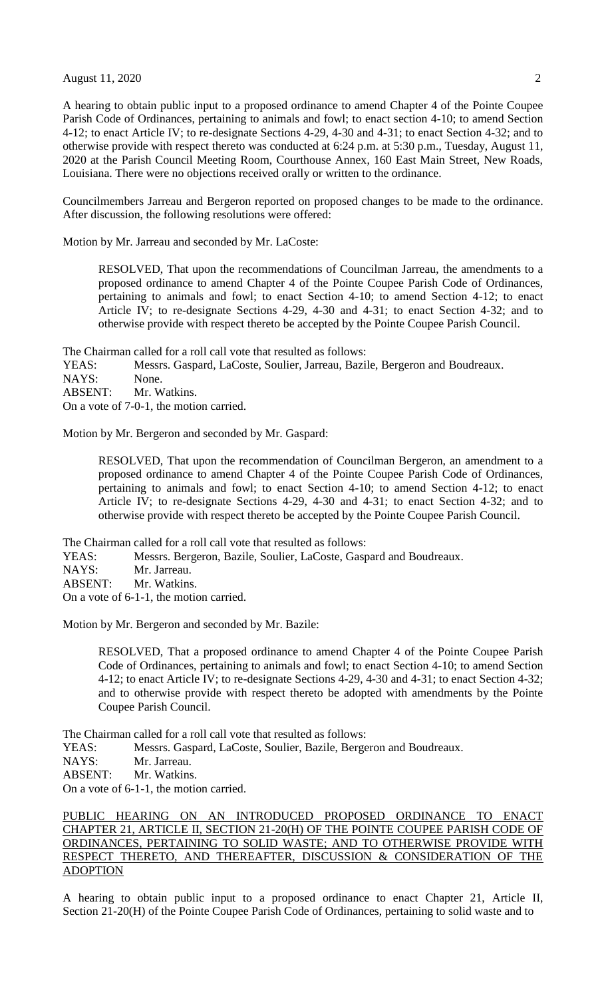August 11, 2020 2

A hearing to obtain public input to a proposed ordinance to amend Chapter 4 of the Pointe Coupee Parish Code of Ordinances, pertaining to animals and fowl; to enact section 4-10; to amend Section 4-12; to enact Article IV; to re-designate Sections 4-29, 4-30 and 4-31; to enact Section 4-32; and to otherwise provide with respect thereto was conducted at 6:24 p.m. at 5:30 p.m., Tuesday, August 11, 2020 at the Parish Council Meeting Room, Courthouse Annex, 160 East Main Street, New Roads, Louisiana. There were no objections received orally or written to the ordinance.

Councilmembers Jarreau and Bergeron reported on proposed changes to be made to the ordinance. After discussion, the following resolutions were offered:

Motion by Mr. Jarreau and seconded by Mr. LaCoste:

RESOLVED, That upon the recommendations of Councilman Jarreau, the amendments to a proposed ordinance to amend Chapter 4 of the Pointe Coupee Parish Code of Ordinances, pertaining to animals and fowl; to enact Section 4-10; to amend Section 4-12; to enact Article IV; to re-designate Sections 4-29, 4-30 and 4-31; to enact Section 4-32; and to otherwise provide with respect thereto be accepted by the Pointe Coupee Parish Council.

The Chairman called for a roll call vote that resulted as follows:

YEAS: Messrs. Gaspard, LaCoste, Soulier, Jarreau, Bazile, Bergeron and Boudreaux.

NAYS: None.

ABSENT: Mr. Watkins.

On a vote of 7-0-1, the motion carried.

Motion by Mr. Bergeron and seconded by Mr. Gaspard:

RESOLVED, That upon the recommendation of Councilman Bergeron, an amendment to a proposed ordinance to amend Chapter 4 of the Pointe Coupee Parish Code of Ordinances, pertaining to animals and fowl; to enact Section 4-10; to amend Section 4-12; to enact Article IV; to re-designate Sections 4-29, 4-30 and 4-31; to enact Section 4-32; and to otherwise provide with respect thereto be accepted by the Pointe Coupee Parish Council.

The Chairman called for a roll call vote that resulted as follows:

YEAS: Messrs. Bergeron, Bazile, Soulier, LaCoste, Gaspard and Boudreaux.

NAYS: Mr. Jarreau.

ABSENT: Mr. Watkins.

On a vote of 6-1-1, the motion carried.

Motion by Mr. Bergeron and seconded by Mr. Bazile:

RESOLVED, That a proposed ordinance to amend Chapter 4 of the Pointe Coupee Parish Code of Ordinances, pertaining to animals and fowl; to enact Section 4-10; to amend Section 4-12; to enact Article IV; to re-designate Sections 4-29, 4-30 and 4-31; to enact Section 4-32; and to otherwise provide with respect thereto be adopted with amendments by the Pointe Coupee Parish Council.

The Chairman called for a roll call vote that resulted as follows:

YEAS: Messrs. Gaspard, LaCoste, Soulier, Bazile, Bergeron and Boudreaux.

NAYS: Mr. Jarreau.

ABSENT: Mr. Watkins.

On a vote of 6-1-1, the motion carried.

# PUBLIC HEARING ON AN INTRODUCED PROPOSED ORDINANCE TO ENACT CHAPTER 21, ARTICLE II, SECTION 21-20(H) OF THE POINTE COUPEE PARISH CODE OF ORDINANCES, PERTAINING TO SOLID WASTE; AND TO OTHERWISE PROVIDE WITH RESPECT THERETO, AND THEREAFTER, DISCUSSION & CONSIDERATION OF THE ADOPTION

A hearing to obtain public input to a proposed ordinance to enact Chapter 21, Article II, Section 21-20(H) of the Pointe Coupee Parish Code of Ordinances, pertaining to solid waste and to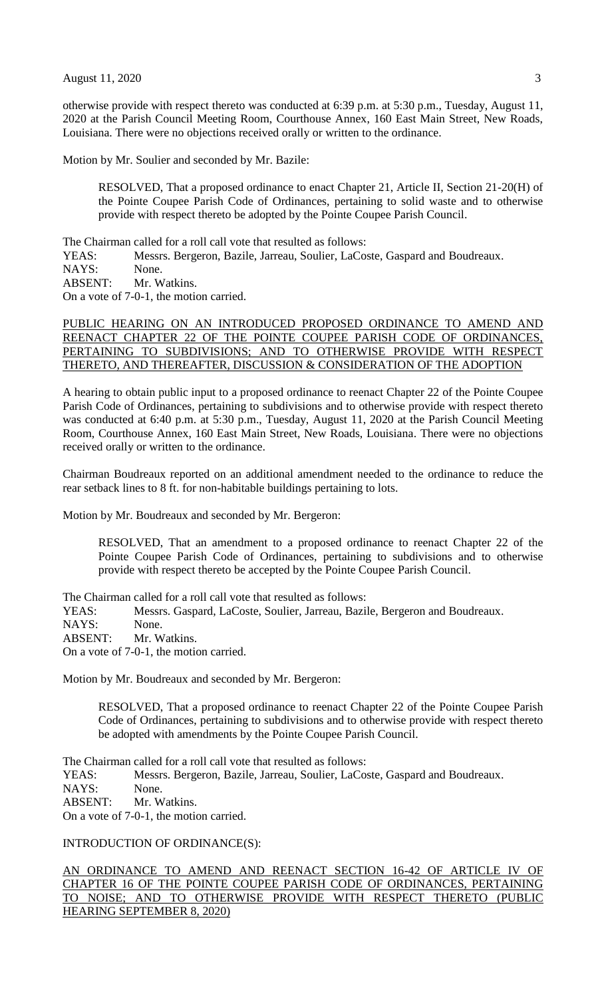otherwise provide with respect thereto was conducted at 6:39 p.m. at 5:30 p.m., Tuesday, August 11, 2020 at the Parish Council Meeting Room, Courthouse Annex, 160 East Main Street, New Roads, Louisiana. There were no objections received orally or written to the ordinance.

Motion by Mr. Soulier and seconded by Mr. Bazile:

RESOLVED, That a proposed ordinance to enact Chapter 21, Article II, Section 21-20(H) of the Pointe Coupee Parish Code of Ordinances, pertaining to solid waste and to otherwise provide with respect thereto be adopted by the Pointe Coupee Parish Council.

The Chairman called for a roll call vote that resulted as follows:

YEAS: Messrs. Bergeron, Bazile, Jarreau, Soulier, LaCoste, Gaspard and Boudreaux.

NAYS: None.

ABSENT: Mr. Watkins.

On a vote of 7-0-1, the motion carried.

### PUBLIC HEARING ON AN INTRODUCED PROPOSED ORDINANCE TO AMEND AND REENACT CHAPTER 22 OF THE POINTE COUPEE PARISH CODE OF ORDINANCES, PERTAINING TO SUBDIVISIONS; AND TO OTHERWISE PROVIDE WITH RESPECT THERETO, AND THEREAFTER, DISCUSSION & CONSIDERATION OF THE ADOPTION

A hearing to obtain public input to a proposed ordinance to reenact Chapter 22 of the Pointe Coupee Parish Code of Ordinances, pertaining to subdivisions and to otherwise provide with respect thereto was conducted at 6:40 p.m. at 5:30 p.m., Tuesday, August 11, 2020 at the Parish Council Meeting Room, Courthouse Annex, 160 East Main Street, New Roads, Louisiana. There were no objections received orally or written to the ordinance.

Chairman Boudreaux reported on an additional amendment needed to the ordinance to reduce the rear setback lines to 8 ft. for non-habitable buildings pertaining to lots.

Motion by Mr. Boudreaux and seconded by Mr. Bergeron:

RESOLVED, That an amendment to a proposed ordinance to reenact Chapter 22 of the Pointe Coupee Parish Code of Ordinances, pertaining to subdivisions and to otherwise provide with respect thereto be accepted by the Pointe Coupee Parish Council.

The Chairman called for a roll call vote that resulted as follows:

YEAS: Messrs. Gaspard, LaCoste, Soulier, Jarreau, Bazile, Bergeron and Boudreaux.

NAYS: None.

ABSENT: Mr. Watkins.

On a vote of 7-0-1, the motion carried.

Motion by Mr. Boudreaux and seconded by Mr. Bergeron:

RESOLVED, That a proposed ordinance to reenact Chapter 22 of the Pointe Coupee Parish Code of Ordinances, pertaining to subdivisions and to otherwise provide with respect thereto be adopted with amendments by the Pointe Coupee Parish Council.

The Chairman called for a roll call vote that resulted as follows:

YEAS: Messrs. Bergeron, Bazile, Jarreau, Soulier, LaCoste, Gaspard and Boudreaux. NAYS: None. ABSENT: Mr. Watkins. On a vote of 7-0-1, the motion carried.

INTRODUCTION OF ORDINANCE(S):

AN ORDINANCE TO AMEND AND REENACT SECTION 16-42 OF ARTICLE IV OF CHAPTER 16 OF THE POINTE COUPEE PARISH CODE OF ORDINANCES, PERTAINING TO NOISE; AND TO OTHERWISE PROVIDE WITH RESPECT THERETO (PUBLIC HEARING SEPTEMBER 8, 2020)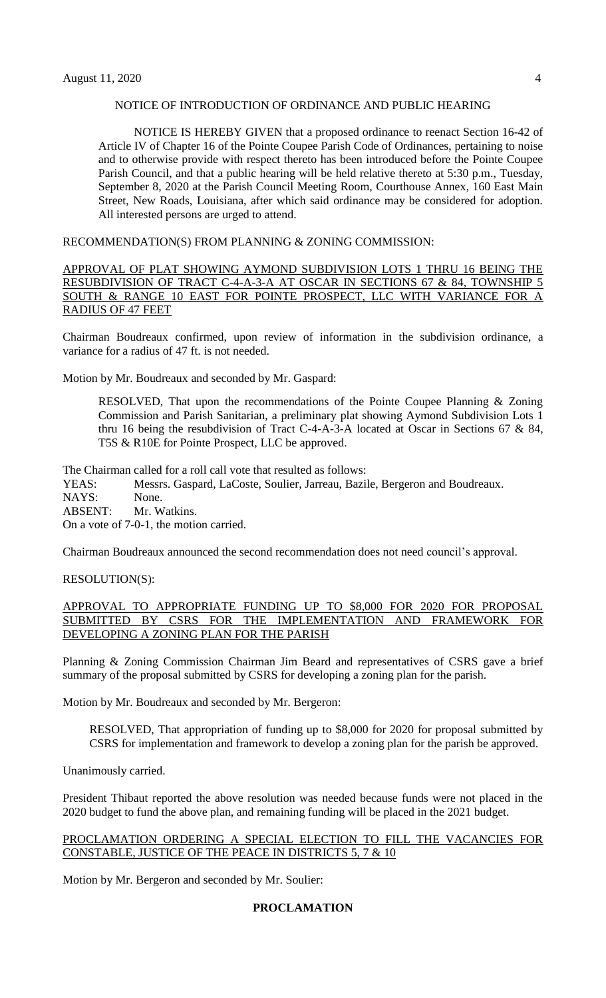### NOTICE OF INTRODUCTION OF ORDINANCE AND PUBLIC HEARING

NOTICE IS HEREBY GIVEN that a proposed ordinance to reenact Section 16-42 of Article IV of Chapter 16 of the Pointe Coupee Parish Code of Ordinances, pertaining to noise and to otherwise provide with respect thereto has been introduced before the Pointe Coupee Parish Council, and that a public hearing will be held relative thereto at 5:30 p.m., Tuesday, September 8, 2020 at the Parish Council Meeting Room, Courthouse Annex, 160 East Main Street, New Roads, Louisiana, after which said ordinance may be considered for adoption. All interested persons are urged to attend.

#### RECOMMENDATION(S) FROM PLANNING & ZONING COMMISSION:

### APPROVAL OF PLAT SHOWING AYMOND SUBDIVISION LOTS 1 THRU 16 BEING THE RESUBDIVISION OF TRACT C-4-A-3-A AT OSCAR IN SECTIONS 67 & 84, TOWNSHIP 5 SOUTH & RANGE 10 EAST FOR POINTE PROSPECT, LLC WITH VARIANCE FOR A RADIUS OF 47 FEET

Chairman Boudreaux confirmed, upon review of information in the subdivision ordinance, a variance for a radius of 47 ft. is not needed.

Motion by Mr. Boudreaux and seconded by Mr. Gaspard:

RESOLVED, That upon the recommendations of the Pointe Coupee Planning & Zoning Commission and Parish Sanitarian, a preliminary plat showing Aymond Subdivision Lots 1 thru 16 being the resubdivision of Tract C-4-A-3-A located at Oscar in Sections 67 & 84, T5S & R10E for Pointe Prospect, LLC be approved.

The Chairman called for a roll call vote that resulted as follows: YEAS: Messrs. Gaspard, LaCoste, Soulier, Jarreau, Bazile, Bergeron and Boudreaux. NAYS: None. ABSENT: Mr. Watkins. On a vote of 7-0-1, the motion carried.

Chairman Boudreaux announced the second recommendation does not need council's approval.

RESOLUTION(S):

# APPROVAL TO APPROPRIATE FUNDING UP TO \$8,000 FOR 2020 FOR PROPOSAL SUBMITTED BY CSRS FOR THE IMPLEMENTATION AND FRAMEWORK FOR DEVELOPING A ZONING PLAN FOR THE PARISH

Planning & Zoning Commission Chairman Jim Beard and representatives of CSRS gave a brief summary of the proposal submitted by CSRS for developing a zoning plan for the parish.

Motion by Mr. Boudreaux and seconded by Mr. Bergeron:

RESOLVED, That appropriation of funding up to \$8,000 for 2020 for proposal submitted by CSRS for implementation and framework to develop a zoning plan for the parish be approved.

Unanimously carried.

President Thibaut reported the above resolution was needed because funds were not placed in the 2020 budget to fund the above plan, and remaining funding will be placed in the 2021 budget.

### PROCLAMATION ORDERING A SPECIAL ELECTION TO FILL THE VACANCIES FOR CONSTABLE, JUSTICE OF THE PEACE IN DISTRICTS 5, 7 & 10

Motion by Mr. Bergeron and seconded by Mr. Soulier:

# **PROCLAMATION**